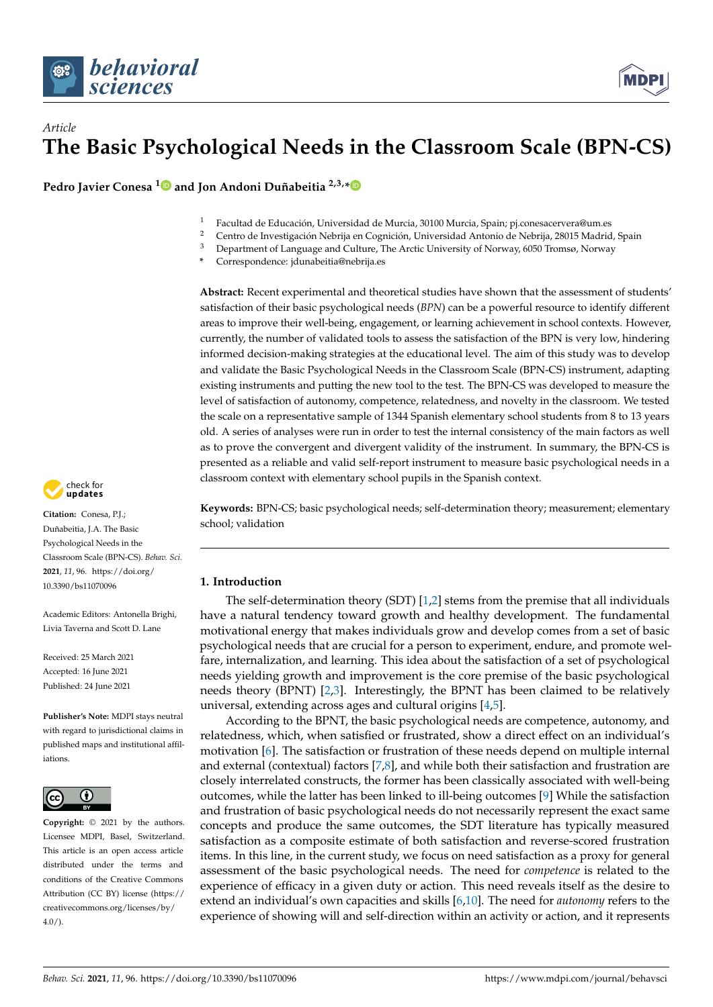

# *Article* **The Basic Psychological Needs in the Classroom Scale (BPN-CS)**

**Pedro Javier Conesa [1](https://orcid.org/0000-0003-0679-6161) and Jon Andoni Duñabeitia 2,3,[\\*](https://orcid.org/0000-0002-3312-8559)**

- 1 Facultad de Educación, Universidad de Murcia, 30100 Murcia, Spain; pj.conesacervera@um.es<br>2 Centre de Investigación Mabriis en Centricia, Universidad Antario de Mabriis, 20015 Madrid
- <sup>2</sup> Centro de Investigación Nebrija en Cognición, Universidad Antonio de Nebrija, 28015 Madrid, Spain<br><sup>3</sup> Denominant e Concessor de Gultima The Antio University e Chamoos (950 Transas Mamoos
- Department of Language and Culture, The Arctic University of Norway, 6050 Tromsø, Norway
- **\*** Correspondence: jdunabeitia@nebrija.es

**Abstract:** Recent experimental and theoretical studies have shown that the assessment of students' satisfaction of their basic psychological needs (*BPN*) can be a powerful resource to identify different areas to improve their well-being, engagement, or learning achievement in school contexts. However, currently, the number of validated tools to assess the satisfaction of the BPN is very low, hindering informed decision-making strategies at the educational level. The aim of this study was to develop and validate the Basic Psychological Needs in the Classroom Scale (BPN-CS) instrument, adapting existing instruments and putting the new tool to the test. The BPN-CS was developed to measure the level of satisfaction of autonomy, competence, relatedness, and novelty in the classroom. We tested the scale on a representative sample of 1344 Spanish elementary school students from 8 to 13 years old. A series of analyses were run in order to test the internal consistency of the main factors as well as to prove the convergent and divergent validity of the instrument. In summary, the BPN-CS is presented as a reliable and valid self-report instrument to measure basic psychological needs in a classroom context with elementary school pupils in the Spanish context.

**Keywords:** BPN-CS; basic psychological needs; self-determination theory; measurement; elementary school; validation

## **1. Introduction**

The self-determination theory (SDT)  $[1,2]$  $[1,2]$  stems from the premise that all individuals have a natural tendency toward growth and healthy development. The fundamental motivational energy that makes individuals grow and develop comes from a set of basic psychological needs that are crucial for a person to experiment, endure, and promote welfare, internalization, and learning. This idea about the satisfaction of a set of psychological needs yielding growth and improvement is the core premise of the basic psychological needs theory (BPNT) [\[2,](#page-9-1)[3\]](#page-9-2). Interestingly, the BPNT has been claimed to be relatively universal, extending across ages and cultural origins [\[4](#page-9-3)[,5\]](#page-9-4).

According to the BPNT, the basic psychological needs are competence, autonomy, and relatedness, which, when satisfied or frustrated, show a direct effect on an individual's motivation [\[6\]](#page-9-5). The satisfaction or frustration of these needs depend on multiple internal and external (contextual) factors [\[7](#page-9-6)[,8\]](#page-9-7), and while both their satisfaction and frustration are closely interrelated constructs, the former has been classically associated with well-being outcomes, while the latter has been linked to ill-being outcomes [\[9\]](#page-10-0) While the satisfaction and frustration of basic psychological needs do not necessarily represent the exact same concepts and produce the same outcomes, the SDT literature has typically measured satisfaction as a composite estimate of both satisfaction and reverse-scored frustration items. In this line, in the current study, we focus on need satisfaction as a proxy for general assessment of the basic psychological needs. The need for *competence* is related to the experience of efficacy in a given duty or action. This need reveals itself as the desire to extend an individual's own capacities and skills [\[6](#page-9-5)[,10\]](#page-10-1). The need for *autonomy* refers to the experience of showing will and self-direction within an activity or action, and it represents



**Citation:** Conesa, P.J.; Duñabeitia, J.A. The Basic Psychological Needs in the Classroom Scale (BPN-CS). *Behav. Sci.* **2021**, *11*, 96. [https://doi.org/](https://doi.org/10.3390/bs11070096) [10.3390/bs11070096](https://doi.org/10.3390/bs11070096)

Academic Editors: Antonella Brighi, Livia Taverna and Scott D. Lane

Received: 25 March 2021 Accepted: 16 June 2021 Published: 24 June 2021

**Publisher's Note:** MDPI stays neutral with regard to jurisdictional claims in published maps and institutional affiliations.



**Copyright:** © 2021 by the authors. Licensee MDPI, Basel, Switzerland. This article is an open access article distributed under the terms and conditions of the Creative Commons Attribution (CC BY) license (https:/[/](https://creativecommons.org/licenses/by/4.0/) [creativecommons.org/licenses/by/](https://creativecommons.org/licenses/by/4.0/)  $4.0/$ ).

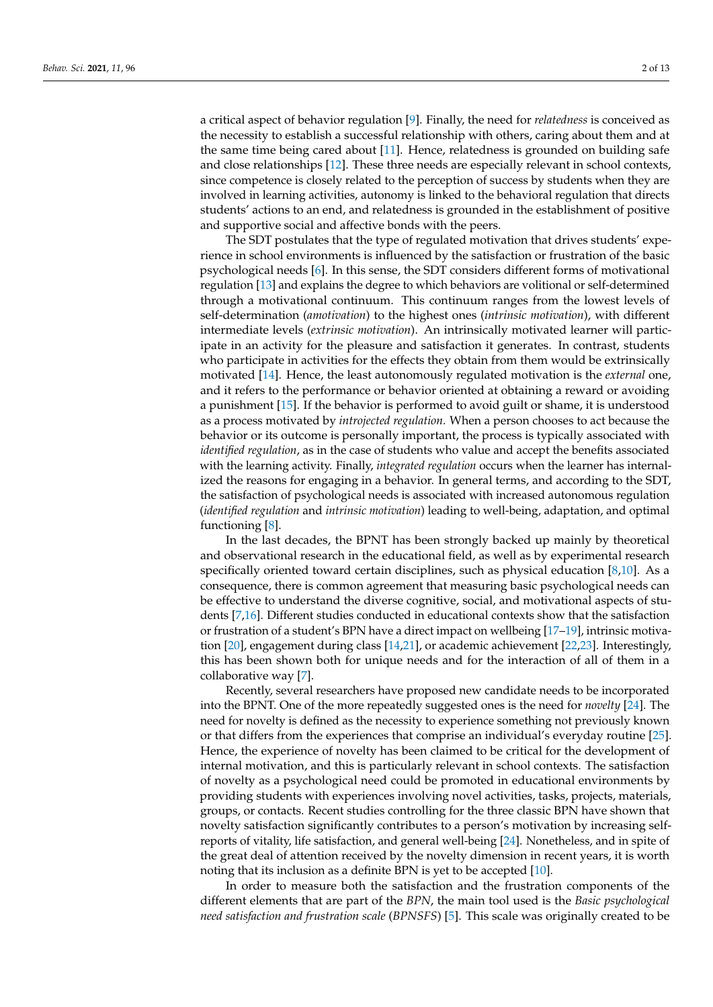a critical aspect of behavior regulation [\[9\]](#page-10-0). Finally, the need for *relatedness* is conceived as the necessity to establish a successful relationship with others, caring about them and at the same time being cared about [\[11\]](#page-10-2). Hence, relatedness is grounded on building safe and close relationships [\[12\]](#page-10-3). These three needs are especially relevant in school contexts, since competence is closely related to the perception of success by students when they are involved in learning activities, autonomy is linked to the behavioral regulation that directs students' actions to an end, and relatedness is grounded in the establishment of positive and supportive social and affective bonds with the peers.

The SDT postulates that the type of regulated motivation that drives students' experience in school environments is influenced by the satisfaction or frustration of the basic psychological needs [\[6\]](#page-9-5). In this sense, the SDT considers different forms of motivational regulation [\[13\]](#page-10-4) and explains the degree to which behaviors are volitional or self-determined through a motivational continuum. This continuum ranges from the lowest levels of self-determination (*amotivation*) to the highest ones (*intrinsic motivation*), with different intermediate levels (*extrinsic motivation*). An intrinsically motivated learner will participate in an activity for the pleasure and satisfaction it generates. In contrast, students who participate in activities for the effects they obtain from them would be extrinsically motivated [\[14\]](#page-10-5). Hence, the least autonomously regulated motivation is the *external* one, and it refers to the performance or behavior oriented at obtaining a reward or avoiding a punishment [\[15\]](#page-10-6). If the behavior is performed to avoid guilt or shame, it is understood as a process motivated by *introjected regulation.* When a person chooses to act because the behavior or its outcome is personally important, the process is typically associated with *identified regulation*, as in the case of students who value and accept the benefits associated with the learning activity. Finally, *integrated regulation* occurs when the learner has internalized the reasons for engaging in a behavior. In general terms, and according to the SDT, the satisfaction of psychological needs is associated with increased autonomous regulation (*identified regulation* and *intrinsic motivation*) leading to well-being, adaptation, and optimal functioning [\[8\]](#page-9-7).

In the last decades, the BPNT has been strongly backed up mainly by theoretical and observational research in the educational field, as well as by experimental research specifically oriented toward certain disciplines, such as physical education [\[8,](#page-9-7)[10\]](#page-10-1). As a consequence, there is common agreement that measuring basic psychological needs can be effective to understand the diverse cognitive, social, and motivational aspects of students [\[7](#page-9-6)[,16\]](#page-10-7). Different studies conducted in educational contexts show that the satisfaction or frustration of a student's BPN have a direct impact on wellbeing [\[17](#page-10-8)[–19\]](#page-10-9), intrinsic motivation [\[20\]](#page-10-10), engagement during class [\[14,](#page-10-5)[21\]](#page-10-11), or academic achievement [\[22,](#page-10-12)[23\]](#page-10-13). Interestingly, this has been shown both for unique needs and for the interaction of all of them in a collaborative way [\[7\]](#page-9-6).

Recently, several researchers have proposed new candidate needs to be incorporated into the BPNT. One of the more repeatedly suggested ones is the need for *novelty* [\[24\]](#page-10-14). The need for novelty is defined as the necessity to experience something not previously known or that differs from the experiences that comprise an individual's everyday routine [\[25\]](#page-10-15). Hence, the experience of novelty has been claimed to be critical for the development of internal motivation, and this is particularly relevant in school contexts. The satisfaction of novelty as a psychological need could be promoted in educational environments by providing students with experiences involving novel activities, tasks, projects, materials, groups, or contacts. Recent studies controlling for the three classic BPN have shown that novelty satisfaction significantly contributes to a person's motivation by increasing selfreports of vitality, life satisfaction, and general well-being [\[24\]](#page-10-14). Nonetheless, and in spite of the great deal of attention received by the novelty dimension in recent years, it is worth noting that its inclusion as a definite BPN is yet to be accepted [\[10\]](#page-10-1).

In order to measure both the satisfaction and the frustration components of the different elements that are part of the *BPN*, the main tool used is the *Basic psychological need satisfaction and frustration scale* (*BPNSFS*) [\[5\]](#page-9-4). This scale was originally created to be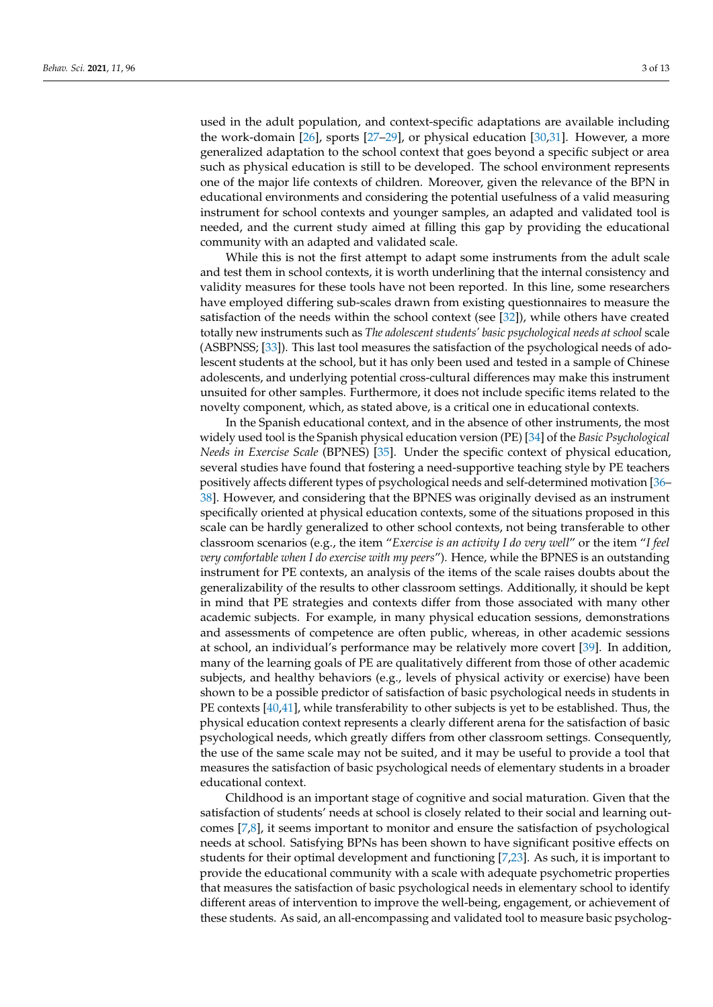used in the adult population, and context-specific adaptations are available including the work-domain [\[26\]](#page-10-16), sports [\[27–](#page-10-17)[29\]](#page-10-18), or physical education [\[30](#page-10-19)[,31\]](#page-10-20). However, a more generalized adaptation to the school context that goes beyond a specific subject or area such as physical education is still to be developed. The school environment represents one of the major life contexts of children. Moreover, given the relevance of the BPN in educational environments and considering the potential usefulness of a valid measuring instrument for school contexts and younger samples, an adapted and validated tool is needed, and the current study aimed at filling this gap by providing the educational community with an adapted and validated scale.

While this is not the first attempt to adapt some instruments from the adult scale and test them in school contexts, it is worth underlining that the internal consistency and validity measures for these tools have not been reported. In this line, some researchers have employed differing sub-scales drawn from existing questionnaires to measure the satisfaction of the needs within the school context (see [\[32\]](#page-10-21)), while others have created totally new instruments such as *The adolescent students' basic psychological needs at school* scale (ASBPNSS; [\[33\]](#page-10-22)). This last tool measures the satisfaction of the psychological needs of adolescent students at the school, but it has only been used and tested in a sample of Chinese adolescents, and underlying potential cross-cultural differences may make this instrument unsuited for other samples. Furthermore, it does not include specific items related to the novelty component, which, as stated above, is a critical one in educational contexts.

In the Spanish educational context, and in the absence of other instruments, the most widely used tool is the Spanish physical education version (PE) [\[34\]](#page-11-0) of the *Basic Psychological Needs in Exercise Scale* (BPNES) [\[35\]](#page-11-1). Under the specific context of physical education, several studies have found that fostering a need-supportive teaching style by PE teachers positively affects different types of psychological needs and self-determined motivation [\[36–](#page-11-2) [38\]](#page-11-3). However, and considering that the BPNES was originally devised as an instrument specifically oriented at physical education contexts, some of the situations proposed in this scale can be hardly generalized to other school contexts, not being transferable to other classroom scenarios (e.g., the item "*Exercise is an activity I do very well*" or the item "*I feel very comfortable when I do exercise with my peers*"). Hence, while the BPNES is an outstanding instrument for PE contexts, an analysis of the items of the scale raises doubts about the generalizability of the results to other classroom settings. Additionally, it should be kept in mind that PE strategies and contexts differ from those associated with many other academic subjects. For example, in many physical education sessions, demonstrations and assessments of competence are often public, whereas, in other academic sessions at school, an individual's performance may be relatively more covert [\[39\]](#page-11-4). In addition, many of the learning goals of PE are qualitatively different from those of other academic subjects, and healthy behaviors (e.g., levels of physical activity or exercise) have been shown to be a possible predictor of satisfaction of basic psychological needs in students in PE contexts [\[40](#page-11-5)[,41\]](#page-11-6), while transferability to other subjects is yet to be established. Thus, the physical education context represents a clearly different arena for the satisfaction of basic psychological needs, which greatly differs from other classroom settings. Consequently, the use of the same scale may not be suited, and it may be useful to provide a tool that measures the satisfaction of basic psychological needs of elementary students in a broader educational context.

Childhood is an important stage of cognitive and social maturation. Given that the satisfaction of students' needs at school is closely related to their social and learning outcomes [\[7](#page-9-6)[,8\]](#page-9-7), it seems important to monitor and ensure the satisfaction of psychological needs at school. Satisfying BPNs has been shown to have significant positive effects on students for their optimal development and functioning [\[7](#page-9-6)[,23\]](#page-10-13). As such, it is important to provide the educational community with a scale with adequate psychometric properties that measures the satisfaction of basic psychological needs in elementary school to identify different areas of intervention to improve the well-being, engagement, or achievement of these students. As said, an all-encompassing and validated tool to measure basic psycholog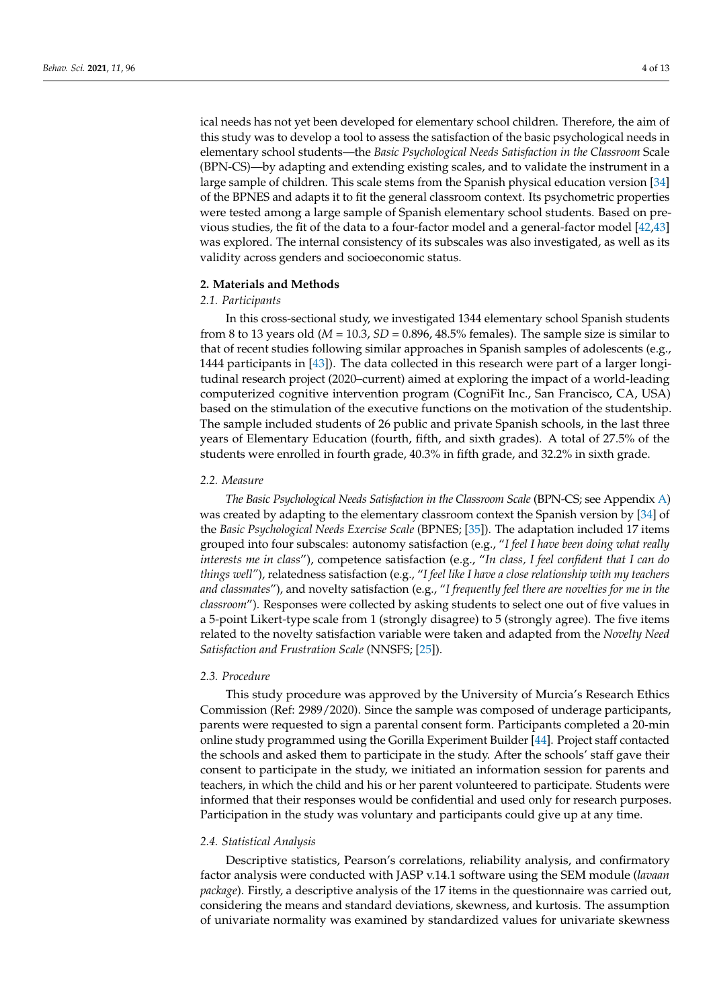ical needs has not yet been developed for elementary school children. Therefore, the aim of this study was to develop a tool to assess the satisfaction of the basic psychological needs in elementary school students—the *Basic Psychological Needs Satisfaction in the Classroom* Scale (BPN-CS)—by adapting and extending existing scales, and to validate the instrument in a large sample of children. This scale stems from the Spanish physical education version [\[34\]](#page-11-0) of the BPNES and adapts it to fit the general classroom context. Its psychometric properties were tested among a large sample of Spanish elementary school students. Based on previous studies, the fit of the data to a four-factor model and a general-factor model [\[42](#page-11-7)[,43\]](#page-11-8) was explored. The internal consistency of its subscales was also investigated, as well as its validity across genders and socioeconomic status.

## **2. Materials and Methods**

## *2.1. Participants*

In this cross-sectional study, we investigated 1344 elementary school Spanish students from 8 to 13 years old ( $M = 10.3$ ,  $SD = 0.896$ , 48.5% females). The sample size is similar to that of recent studies following similar approaches in Spanish samples of adolescents (e.g., 1444 participants in [\[43\]](#page-11-8)). The data collected in this research were part of a larger longitudinal research project (2020–current) aimed at exploring the impact of a world-leading computerized cognitive intervention program (CogniFit Inc., San Francisco, CA, USA) based on the stimulation of the executive functions on the motivation of the studentship. The sample included students of 26 public and private Spanish schools, in the last three years of Elementary Education (fourth, fifth, and sixth grades). A total of 27.5% of the students were enrolled in fourth grade, 40.3% in fifth grade, and 32.2% in sixth grade.

## *2.2. Measure*

*The Basic Psychological Needs Satisfaction in the Classroom Scale* (BPN-CS; see Appendix [A\)](#page-8-0) was created by adapting to the elementary classroom context the Spanish version by [\[34\]](#page-11-0) of the *Basic Psychological Needs Exercise Scale* (BPNES; [\[35\]](#page-11-1)). The adaptation included 17 items grouped into four subscales: autonomy satisfaction (e.g., "*I feel I have been doing what really interests me in class*"), competence satisfaction (e.g., "*In class, I feel confident that I can do things well"*), relatedness satisfaction (e.g., "*I feel like I have a close relationship with my teachers and classmates*"), and novelty satisfaction (e.g., "*I frequently feel there are novelties for me in the classroom*"). Responses were collected by asking students to select one out of five values in a 5-point Likert-type scale from 1 (strongly disagree) to 5 (strongly agree). The five items related to the novelty satisfaction variable were taken and adapted from the *Novelty Need Satisfaction and Frustration Scale* (NNSFS; [\[25\]](#page-10-15)).

## *2.3. Procedure*

This study procedure was approved by the University of Murcia's Research Ethics Commission (Ref: 2989/2020). Since the sample was composed of underage participants, parents were requested to sign a parental consent form. Participants completed a 20-min online study programmed using the Gorilla Experiment Builder [\[44\]](#page-11-9). Project staff contacted the schools and asked them to participate in the study. After the schools' staff gave their consent to participate in the study, we initiated an information session for parents and teachers, in which the child and his or her parent volunteered to participate. Students were informed that their responses would be confidential and used only for research purposes. Participation in the study was voluntary and participants could give up at any time.

## *2.4. Statistical Analysis*

Descriptive statistics, Pearson's correlations, reliability analysis, and confirmatory factor analysis were conducted with JASP v.14.1 software using the SEM module (*lavaan package*). Firstly, a descriptive analysis of the 17 items in the questionnaire was carried out, considering the means and standard deviations, skewness, and kurtosis. The assumption of univariate normality was examined by standardized values for univariate skewness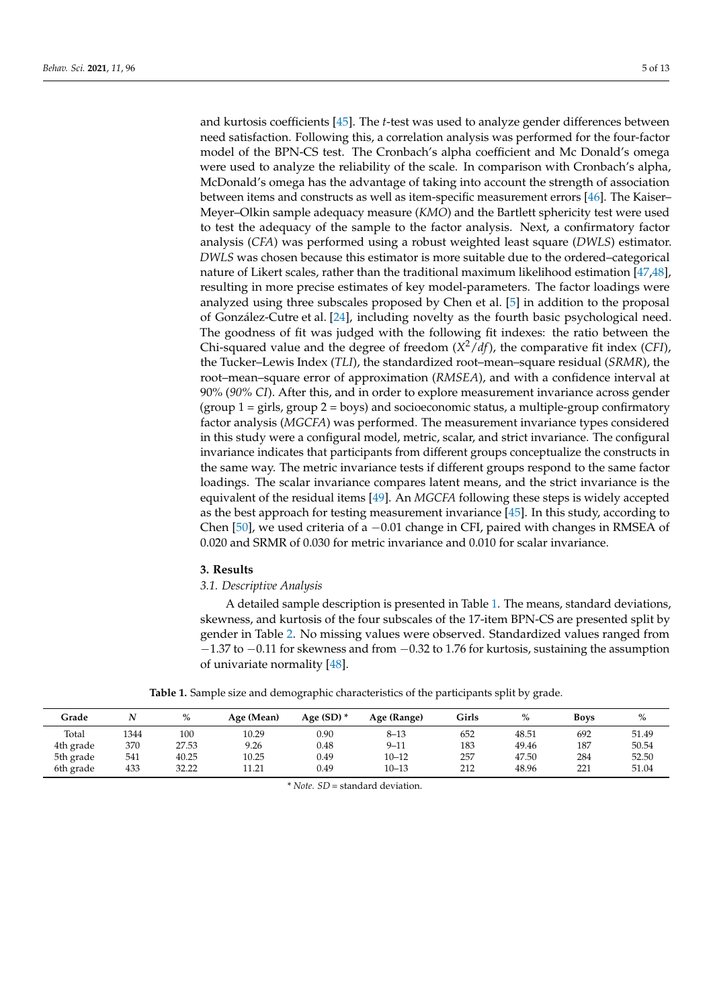and kurtosis coefficients [\[45\]](#page-11-10). The *t*-test was used to analyze gender differences between need satisfaction. Following this, a correlation analysis was performed for the four-factor model of the BPN-CS test. The Cronbach's alpha coefficient and Mc Donald's omega were used to analyze the reliability of the scale. In comparison with Cronbach's alpha, McDonald's omega has the advantage of taking into account the strength of association between items and constructs as well as item-specific measurement errors [\[46\]](#page-11-11). The Kaiser– Meyer–Olkin sample adequacy measure (*KMO*) and the Bartlett sphericity test were used to test the adequacy of the sample to the factor analysis. Next, a confirmatory factor analysis (*CFA*) was performed using a robust weighted least square (*DWLS*) estimator. *DWLS* was chosen because this estimator is more suitable due to the ordered–categorical nature of Likert scales, rather than the traditional maximum likelihood estimation [\[47](#page-11-12)[,48\]](#page-11-13), resulting in more precise estimates of key model-parameters. The factor loadings were analyzed using three subscales proposed by Chen et al. [\[5\]](#page-9-4) in addition to the proposal of González-Cutre et al. [\[24\]](#page-10-14), including novelty as the fourth basic psychological need. The goodness of fit was judged with the following fit indexes: the ratio between the Chi-squared value and the degree of freedom (*X* <sup>2</sup>/*df*), the comparative fit index (*CFI*), the Tucker–Lewis Index (*TLI*), the standardized root–mean–square residual (*SRMR*), the root–mean–square error of approximation (*RMSEA*), and with a confidence interval at 90% (*90% CI*). After this, and in order to explore measurement invariance across gender  $(group 1 = girls, group 2 = boys)$  and socioeconomic status, a multiple-group confirmatory factor analysis (*MGCFA*) was performed. The measurement invariance types considered in this study were a configural model, metric, scalar, and strict invariance. The configural invariance indicates that participants from different groups conceptualize the constructs in the same way. The metric invariance tests if different groups respond to the same factor loadings. The scalar invariance compares latent means, and the strict invariance is the equivalent of the residual items [\[49\]](#page-11-14). An *MGCFA* following these steps is widely accepted as the best approach for testing measurement invariance [\[45\]](#page-11-10). In this study, according to Chen [\[50\]](#page-11-15), we used criteria of a  $-0.01$  change in CFI, paired with changes in RMSEA of 0.020 and SRMR of 0.030 for metric invariance and 0.010 for scalar invariance.

#### **3. Results**

## *3.1. Descriptive Analysis*

A detailed sample description is presented in Table [1.](#page-4-0) The means, standard deviations, skewness, and kurtosis of the four subscales of the 17-item BPN-CS are presented split by gender in Table [2.](#page-5-0) No missing values were observed. Standardized values ranged from −1.37 to −0.11 for skewness and from −0.32 to 1.76 for kurtosis, sustaining the assumption of univariate normality [\[48\]](#page-11-13).

**Table 1.** Sample size and demographic characteristics of the participants split by grade.

<span id="page-4-0"></span>

| Grade     |      | %     | Age (Mean) | Age $(SD)$ * | Age (Range) | Girls | %     | <b>Boys</b> | %     |
|-----------|------|-------|------------|--------------|-------------|-------|-------|-------------|-------|
| Total     | 1344 | 100   | 10.29      | 0.90         | $8 - 13$    | 652   | 48.51 | 692         | 51.49 |
| 4th grade | 370  | 27.53 | 9.26       | 0.48         | $9 - 11$    | 183   | 49.46 | 187         | 50.54 |
| 5th grade | 541  | 40.25 | 10.25      | 0.49         | $10 - 12$   | 257   | 47.50 | 284         | 52.50 |
| 6th grade | 433  | 32.22 | 11.21      | 0.49         | $10 - 13$   | 212   | 48.96 | 221         | 51.04 |

\* *Note. SD* = standard deviation.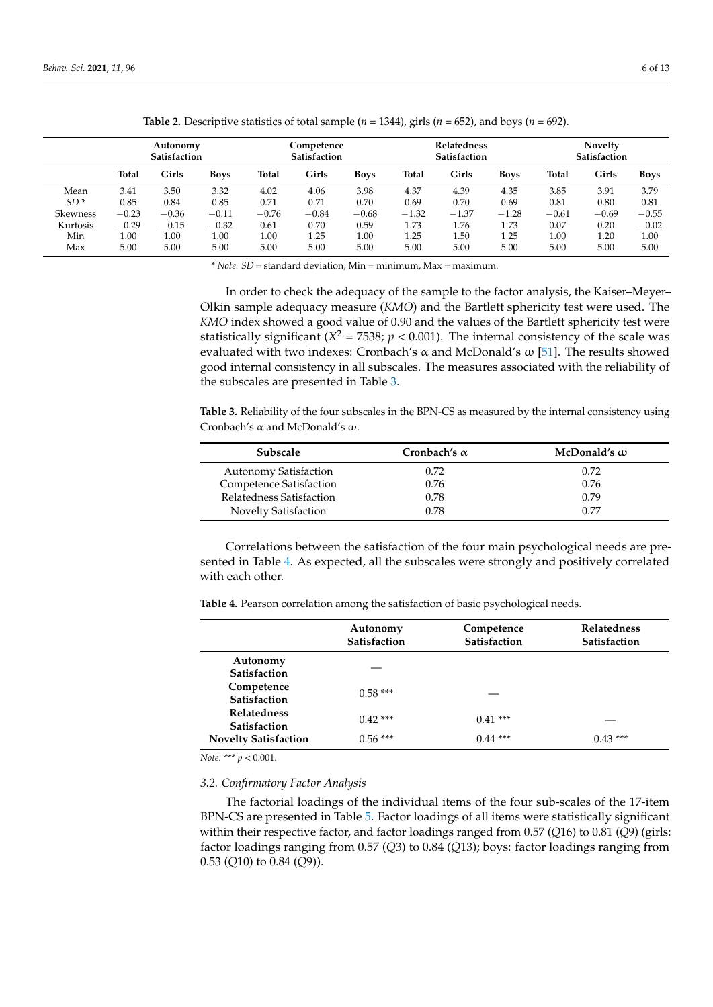<span id="page-5-0"></span>

|                 | Autonomy<br><b>Satisfaction</b> |         |             | Competence<br><b>Satisfaction</b> |         |             | Relatedness<br><b>Satisfaction</b> |         |             | <b>Novelty</b><br>Satisfaction |         |             |
|-----------------|---------------------------------|---------|-------------|-----------------------------------|---------|-------------|------------------------------------|---------|-------------|--------------------------------|---------|-------------|
|                 | <b>Total</b>                    | Girls   | <b>Boys</b> | Total                             | Girls   | <b>Boys</b> | Total                              | Girls   | <b>Boys</b> | <b>Total</b>                   | Girls   | <b>Boys</b> |
| Mean            | 3.41                            | 3.50    | 3.32        | 4.02                              | 4.06    | 3.98        | 4.37                               | 4.39    | 4.35        | 3.85                           | 3.91    | 3.79        |
| $SD*$           | 0.85                            | 0.84    | 0.85        | 0.71                              | 0.71    | 0.70        | 0.69                               | 0.70    | 0.69        | 0.81                           | 0.80    | 0.81        |
| <b>Skewness</b> | $-0.23$                         | $-0.36$ | $-0.11$     | $-0.76$                           | $-0.84$ | $-0.68$     | $-1.32$                            | $-1.37$ | $-1.28$     | $-0.61$                        | $-0.69$ | $-0.55$     |
| Kurtosis        | $-0.29$                         | $-0.15$ | $-0.32$     | 0.61                              | 0.70    | 0.59        | 1.73                               | 1.76    | 1.73        | 0.07                           | 0.20    | $-0.02$     |
| Min             | 1.00                            | 1.00    | 1.00        | 1.00                              | 1.25    | 1.00        | 1.25                               | 1.50    | 1.25        | 1.00                           | 1.20    | 1.00        |
| Max             | 5.00                            | 5.00    | 5.00        | 5.00                              | 5.00    | 5.00        | 5.00                               | 5.00    | 5.00        | 5.00                           | 5.00    | 5.00        |

**Table 2.** Descriptive statistics of total sample ( $n = 1344$ ), girls ( $n = 652$ ), and boys ( $n = 692$ ).

\* *Note. SD* = standard deviation, Min = minimum, Max = maximum.

In order to check the adequacy of the sample to the factor analysis, the Kaiser–Meyer– Olkin sample adequacy measure (*KMO*) and the Bartlett sphericity test were used. The *KMO* index showed a good value of 0.90 and the values of the Bartlett sphericity test were statistically significant ( $X^2 = 7538$ ;  $p < 0.001$ ). The internal consistency of the scale was evaluated with two indexes: Cronbach's  $\alpha$  and McDonald's  $\omega$  [\[51\]](#page-11-16). The results showed good internal consistency in all subscales. The measures associated with the reliability of the subscales are presented in Table [3.](#page-5-1)

<span id="page-5-1"></span>**Table 3.** Reliability of the four subscales in the BPN-CS as measured by the internal consistency using Cronbach's α and McDonald's ω.

| <b>Subscale</b>              | Cronbach's $\alpha$ | McDonald's $\omega$ |
|------------------------------|---------------------|---------------------|
| <b>Autonomy Satisfaction</b> | 0.72                | 0.72                |
| Competence Satisfaction      | 0.76                | 0.76                |
| Relatedness Satisfaction     | 0.78                | 0.79                |
| <b>Novelty Satisfaction</b>  | 0.78                | 0.77                |

Correlations between the satisfaction of the four main psychological needs are presented in Table [4.](#page-5-2) As expected, all the subscales were strongly and positively correlated with each other.

<span id="page-5-2"></span>**Table 4.** Pearson correlation among the satisfaction of basic psychological needs.

|                                           | Autonomy<br><b>Satisfaction</b> | Competence<br><b>Satisfaction</b> | <b>Relatedness</b><br><b>Satisfaction</b> |
|-------------------------------------------|---------------------------------|-----------------------------------|-------------------------------------------|
| Autonomy<br>Satisfaction                  |                                 |                                   |                                           |
| Competence<br>Satisfaction                | $0.58***$                       |                                   |                                           |
| <b>Relatedness</b><br><b>Satisfaction</b> | $0.42***$                       | $0.41***$                         |                                           |
| <b>Novelty Satisfaction</b>               | $0.56***$                       | $0.44$ ***                        | $0.43***$                                 |

*Note.* \*\*\* *p* < 0.001.

## *3.2. Confirmatory Factor Analysis*

The factorial loadings of the individual items of the four sub-scales of the 17-item BPN-CS are presented in Table [5.](#page-6-0) Factor loadings of all items were statistically significant within their respective factor, and factor loadings ranged from 0.57 (*Q*16) to 0.81 (*Q*9) (girls: factor loadings ranging from 0.57 (*Q*3) to 0.84 (*Q*13); boys: factor loadings ranging from 0.53 (*Q*10) to 0.84 (*Q*9)).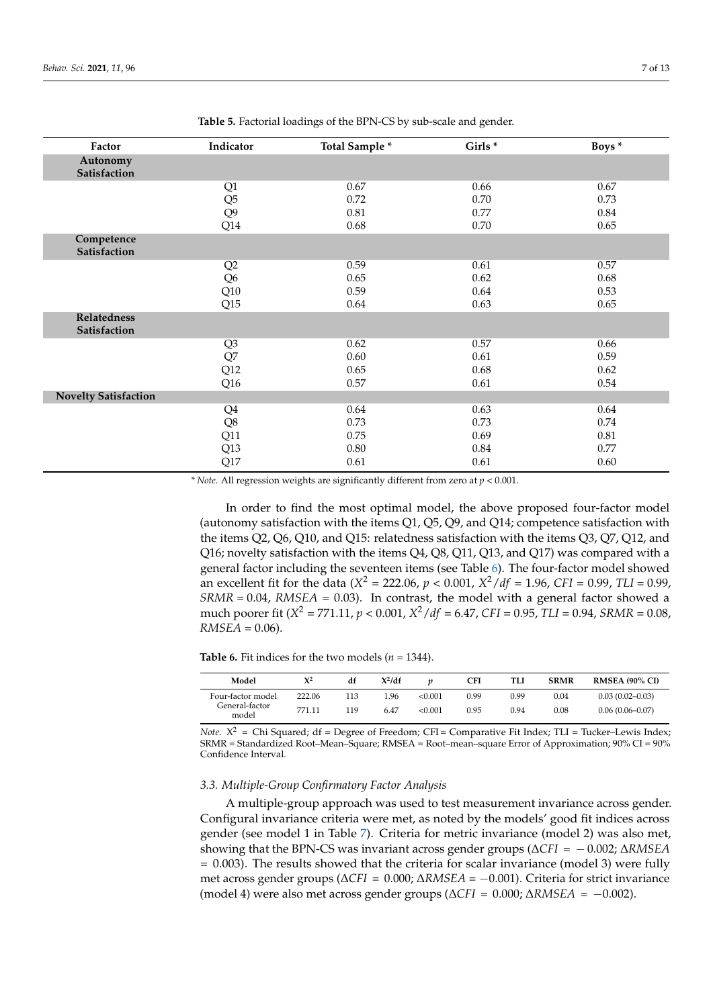<span id="page-6-0"></span>

| Factor                             | Indicator       | Total Sample * | Girls <sup>*</sup> | Boys <sup>*</sup> |
|------------------------------------|-----------------|----------------|--------------------|-------------------|
| Autonomy                           |                 |                |                    |                   |
| Satisfaction                       |                 |                |                    |                   |
|                                    | Q1              | 0.67           | 0.66               | 0.67              |
|                                    | Q <sub>5</sub>  | 0.72           | 0.70               | 0.73              |
|                                    | Q <sub>9</sub>  | 0.81           | 0.77               | 0.84              |
|                                    | Q14             | 0.68           | 0.70               | 0.65              |
| Competence<br>Satisfaction         |                 |                |                    |                   |
|                                    | Q2              | 0.59           | 0.61               | 0.57              |
|                                    | Q <sub>6</sub>  | 0.65           | 0.62               | 0.68              |
|                                    | Q10             | 0.59           | 0.64               | 0.53              |
|                                    | Q15             | 0.64           | 0.63               | 0.65              |
| <b>Relatedness</b><br>Satisfaction |                 |                |                    |                   |
|                                    | Q3              | 0.62           | 0.57               | 0.66              |
|                                    | Q7              | 0.60           | 0.61               | 0.59              |
|                                    | Q12             | 0.65           | 0.68               | 0.62              |
|                                    | Q <sub>16</sub> | 0.57           | 0.61               | 0.54              |
| <b>Novelty Satisfaction</b>        |                 |                |                    |                   |
|                                    | Q <sub>4</sub>  | 0.64           | 0.63               | 0.64              |
|                                    | $\mathrm{Q}8$   | 0.73           | 0.73               | 0.74              |
|                                    | Q11             | 0.75           | 0.69               | $0.81\,$          |
|                                    | Q13             | 0.80           | 0.84               | 0.77              |
|                                    | Q17             | 0.61           | 0.61               | 0.60              |

**Table 5.** Factorial loadings of the BPN-CS by sub-scale and gender.

*\* Note*. All regression weights are significantly different from zero at *p* < 0.001.

In order to find the most optimal model, the above proposed four-factor model (autonomy satisfaction with the items Q1, Q5, Q9, and Q14; competence satisfaction with the items Q2, Q6, Q10, and Q15: relatedness satisfaction with the items Q3, Q7, Q12, and Q16; novelty satisfaction with the items Q4, Q8, Q11, Q13, and Q17) was compared with a general factor including the seventeen items (see Table [6\)](#page-6-1). The four-factor model showed an excellent fit for the data ( $X^2 = 222.06$ ,  $p < 0.001$ ,  $X^2/df = 1.96$ , *CFI* = 0.99, *TLI* = 0.99, *SRMR* = 0.04, *RMSEA* = 0.03). In contrast, the model with a general factor showed a much poorer fit (*X* <sup>2</sup> = 771.11, *p* < 0.001, *X* <sup>2</sup>/*df* = 6.47, *CFI* = 0.95, *TLI* = 0.94, *SRMR* = 0.08,  $RMSEA = 0.06$ .

<span id="page-6-1"></span>**Table 6.** Fit indices for the two models ( $n = 1344$ ).

| Model                   | $X^2$  | df   | $X^2/df$ |         | CFI  | TLI  | <b>SRMR</b> | <b>RMSEA (90% CI)</b> |
|-------------------------|--------|------|----------|---------|------|------|-------------|-----------------------|
| Four-factor model       | 222.06 | 13   | .96      | < 0.001 | 0.99 | 0.99 | 0.04        | $0.03(0.02 - 0.03)$   |
| General-factor<br>model | 771.11 | ' 19 | 6.47     | < 0.001 | 0.95 | 0.94 | 0.08        | $0.06(0.06 - 0.07)$   |

*Note.*  $X^2$  = Chi Squared; df = Degree of Freedom; CFI = Comparative Fit Index; TLI = Tucker–Lewis Index; SRMR = Standardized Root–Mean–Square; RMSEA = Root–mean–square Error of Approximation; 90% CI = 90% Confidence Interval.

## *3.3. Multiple-Group Confirmatory Factor Analysis*

A multiple-group approach was used to test measurement invariance across gender. Configural invariance criteria were met, as noted by the models' good fit indices across gender (see model 1 in Table [7\)](#page-7-0). Criteria for metric invariance (model 2) was also met, showing that the BPN-CS was invariant across gender groups (∆*CFI* = − 0.002; ∆*RMSEA*  $= 0.003$ ). The results showed that the criteria for scalar invariance (model 3) were fully met across gender groups (∆*CFI* = 0.000; ∆*RMSEA* = −0.001). Criteria for strict invariance (model 4) were also met across gender groups (∆*CFI* = 0.000; ∆*RMSEA* = −0.002).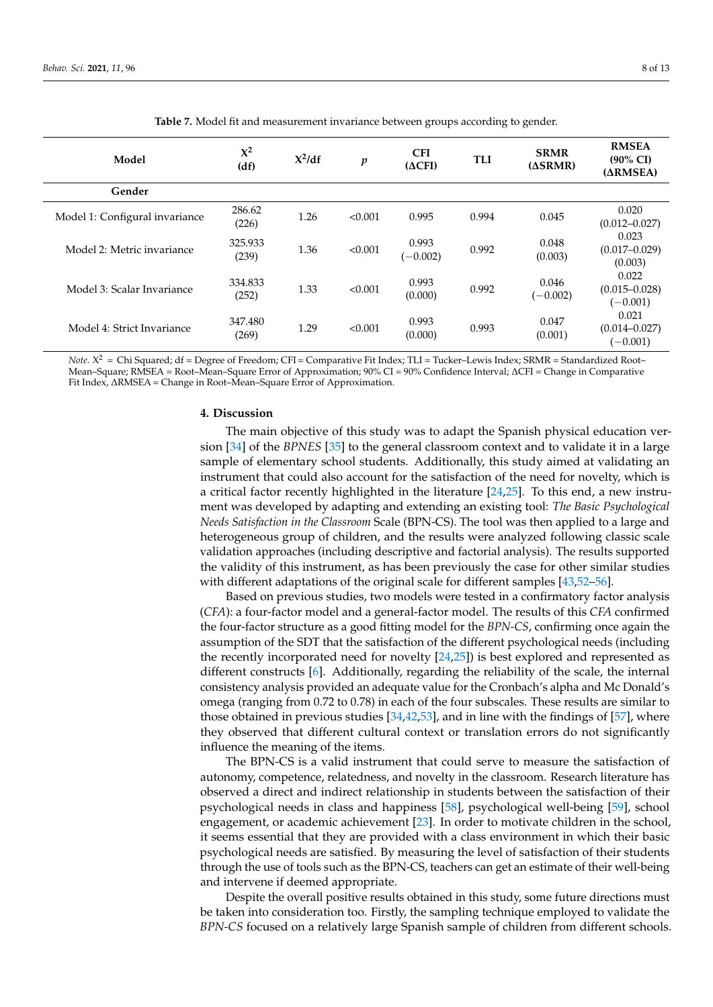<span id="page-7-0"></span>

| Model                          | $\mathbf{X}^2$<br>(df) | $X^2/df$ | $\boldsymbol{p}$ | <b>CFI</b><br>$(\Delta CFI)$ | <b>TLI</b> | <b>SRMR</b><br>$(\Delta$ SRMR) | <b>RMSEA</b><br>$(90\% \text{ CI})$<br>$(\Delta RMSEA)$ |
|--------------------------------|------------------------|----------|------------------|------------------------------|------------|--------------------------------|---------------------------------------------------------|
| Gender                         |                        |          |                  |                              |            |                                |                                                         |
| Model 1: Configural invariance | 286.62<br>(226)        | 1.26     | < 0.001          | 0.995                        | 0.994      | 0.045                          | 0.020<br>$(0.012 - 0.027)$                              |
| Model 2: Metric invariance     | 325.933<br>(239)       | 1.36     | < 0.001          | 0.993<br>$(-0.002)$          | 0.992      | 0.048<br>(0.003)               | 0.023<br>$(0.017 - 0.029)$<br>(0.003)                   |
| Model 3: Scalar Invariance     | 334.833<br>(252)       | 1.33     | < 0.001          | 0.993<br>(0.000)             | 0.992      | 0.046<br>$(-0.002)$            | 0.022<br>$(0.015 - 0.028)$<br>$(-0.001)$                |
| Model 4: Strict Invariance     | 347.480<br>(269)       | 1.29     | < 0.001          | 0.993<br>(0.000)             | 0.993      | 0.047<br>(0.001)               | 0.021<br>$(0.014 - 0.027)$<br>$(-0.001)$                |

**Table 7.** Model fit and measurement invariance between groups according to gender.

*Note.* X <sup>2</sup> = Chi Squared; df = Degree of Freedom; CFI = Comparative Fit Index; TLI = Tucker–Lewis Index; SRMR = Standardized Root– Mean–Square; RMSEA = Root–Mean–Square Error of Approximation; 90% CI = 90% Confidence Interval; ∆CFI = Change in Comparative Fit Index, ∆RMSEA = Change in Root–Mean–Square Error of Approximation.

#### **4. Discussion**

The main objective of this study was to adapt the Spanish physical education version [\[34\]](#page-11-0) of the *BPNES* [\[35\]](#page-11-1) to the general classroom context and to validate it in a large sample of elementary school students. Additionally, this study aimed at validating an instrument that could also account for the satisfaction of the need for novelty, which is a critical factor recently highlighted in the literature [\[24](#page-10-14)[,25\]](#page-10-15). To this end, a new instrument was developed by adapting and extending an existing tool: *The Basic Psychological Needs Satisfaction in the Classroom* Scale (BPN-CS). The tool was then applied to a large and heterogeneous group of children, and the results were analyzed following classic scale validation approaches (including descriptive and factorial analysis). The results supported the validity of this instrument, as has been previously the case for other similar studies with different adaptations of the original scale for different samples [\[43,](#page-11-8)[52](#page-11-17)[–56\]](#page-11-18).

Based on previous studies, two models were tested in a confirmatory factor analysis (*CFA*): a four-factor model and a general-factor model. The results of this *CFA* confirmed the four-factor structure as a good fitting model for the *BPN-CS*, confirming once again the assumption of the SDT that the satisfaction of the different psychological needs (including the recently incorporated need for novelty [\[24](#page-10-14)[,25\]](#page-10-15)) is best explored and represented as different constructs [\[6\]](#page-9-5). Additionally, regarding the reliability of the scale, the internal consistency analysis provided an adequate value for the Cronbach's alpha and Mc Donald's omega (ranging from 0.72 to 0.78) in each of the four subscales. These results are similar to those obtained in previous studies [\[34,](#page-11-0)[42,](#page-11-7)[53\]](#page-11-19), and in line with the findings of [\[57\]](#page-11-20), where they observed that different cultural context or translation errors do not significantly influence the meaning of the items.

The BPN-CS is a valid instrument that could serve to measure the satisfaction of autonomy, competence, relatedness, and novelty in the classroom. Research literature has observed a direct and indirect relationship in students between the satisfaction of their psychological needs in class and happiness [\[58\]](#page-11-21), psychological well-being [\[59\]](#page-11-22), school engagement, or academic achievement [\[23\]](#page-10-13). In order to motivate children in the school, it seems essential that they are provided with a class environment in which their basic psychological needs are satisfied. By measuring the level of satisfaction of their students through the use of tools such as the BPN-CS, teachers can get an estimate of their well-being and intervene if deemed appropriate.

Despite the overall positive results obtained in this study, some future directions must be taken into consideration too. Firstly, the sampling technique employed to validate the *BPN-CS* focused on a relatively large Spanish sample of children from different schools.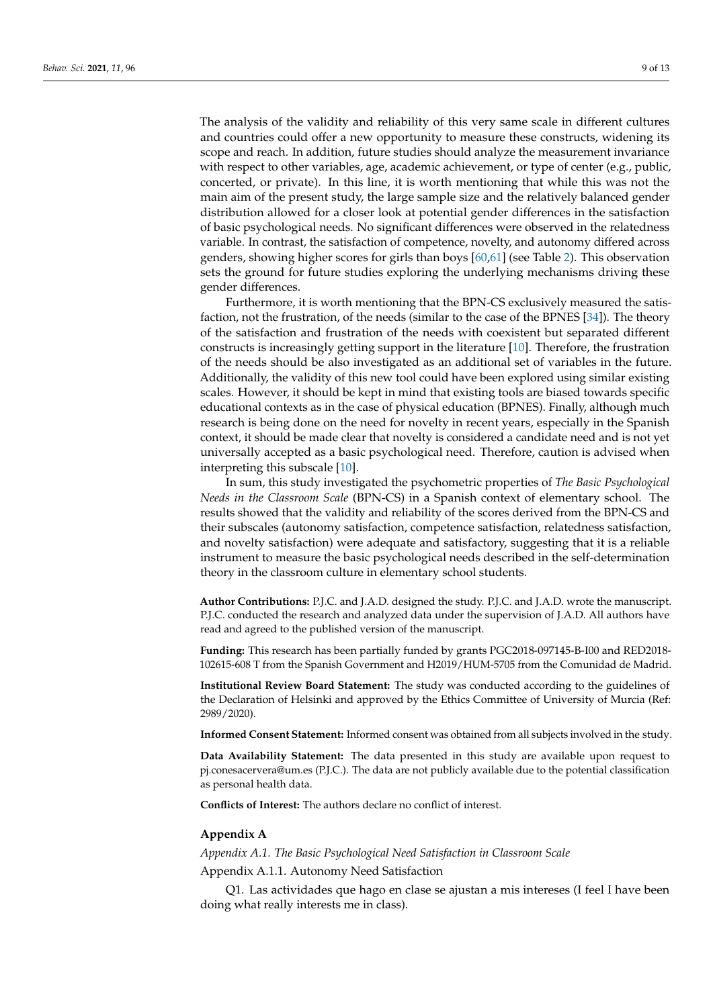The analysis of the validity and reliability of this very same scale in different cultures and countries could offer a new opportunity to measure these constructs, widening its scope and reach. In addition, future studies should analyze the measurement invariance with respect to other variables, age, academic achievement, or type of center (e.g., public, concerted, or private). In this line, it is worth mentioning that while this was not the main aim of the present study, the large sample size and the relatively balanced gender distribution allowed for a closer look at potential gender differences in the satisfaction of basic psychological needs. No significant differences were observed in the relatedness variable. In contrast, the satisfaction of competence, novelty, and autonomy differed across genders, showing higher scores for girls than boys [\[60](#page-12-0)[,61\]](#page-12-1) (see Table [2\)](#page-5-0). This observation sets the ground for future studies exploring the underlying mechanisms driving these gender differences.

Furthermore, it is worth mentioning that the BPN-CS exclusively measured the satisfaction, not the frustration, of the needs (similar to the case of the BPNES [\[34\]](#page-11-0)). The theory of the satisfaction and frustration of the needs with coexistent but separated different constructs is increasingly getting support in the literature [\[10\]](#page-10-1). Therefore, the frustration of the needs should be also investigated as an additional set of variables in the future. Additionally, the validity of this new tool could have been explored using similar existing scales. However, it should be kept in mind that existing tools are biased towards specific educational contexts as in the case of physical education (BPNES). Finally, although much research is being done on the need for novelty in recent years, especially in the Spanish context, it should be made clear that novelty is considered a candidate need and is not yet universally accepted as a basic psychological need. Therefore, caution is advised when interpreting this subscale [\[10\]](#page-10-1).

In sum, this study investigated the psychometric properties of *The Basic Psychological Needs in the Classroom Scale* (BPN-CS) in a Spanish context of elementary school. The results showed that the validity and reliability of the scores derived from the BPN-CS and their subscales (autonomy satisfaction, competence satisfaction, relatedness satisfaction, and novelty satisfaction) were adequate and satisfactory, suggesting that it is a reliable instrument to measure the basic psychological needs described in the self-determination theory in the classroom culture in elementary school students.

**Author Contributions:** P.J.C. and J.A.D. designed the study. P.J.C. and J.A.D. wrote the manuscript. P.J.C. conducted the research and analyzed data under the supervision of J.A.D. All authors have read and agreed to the published version of the manuscript.

**Funding:** This research has been partially funded by grants PGC2018-097145-B-I00 and RED2018- 102615-608 T from the Spanish Government and H2019/HUM-5705 from the Comunidad de Madrid.

**Institutional Review Board Statement:** The study was conducted according to the guidelines of the Declaration of Helsinki and approved by the Ethics Committee of University of Murcia (Ref: 2989/2020).

**Informed Consent Statement:** Informed consent was obtained from all subjects involved in the study.

**Data Availability Statement:** The data presented in this study are available upon request to pj.conesacervera@um.es (P.J.C.). The data are not publicly available due to the potential classification as personal health data.

**Conflicts of Interest:** The authors declare no conflict of interest.

#### <span id="page-8-0"></span>**Appendix A**

*Appendix A.1. The Basic Psychological Need Satisfaction in Classroom Scale*

Appendix A.1.1. Autonomy Need Satisfaction

Q1. Las actividades que hago en clase se ajustan a mis intereses (I feel I have been doing what really interests me in class).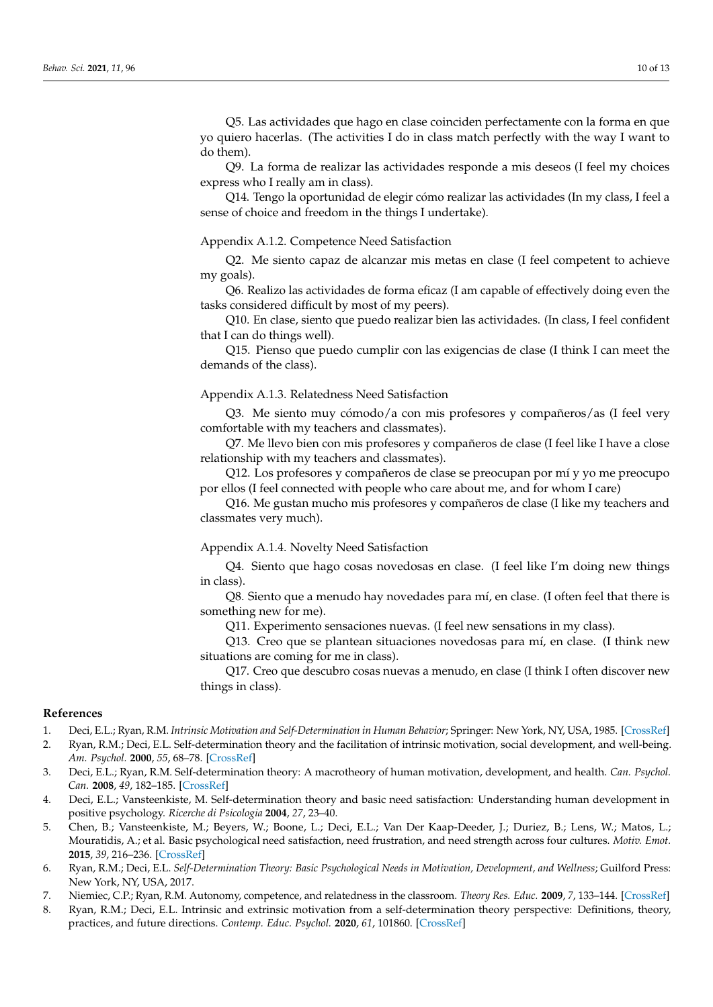Q5. Las actividades que hago en clase coinciden perfectamente con la forma en que yo quiero hacerlas. (The activities I do in class match perfectly with the way I want to do them).

Q9. La forma de realizar las actividades responde a mis deseos (I feel my choices express who I really am in class).

Q14. Tengo la oportunidad de elegir cómo realizar las actividades (In my class, I feel a sense of choice and freedom in the things I undertake).

## Appendix A.1.2. Competence Need Satisfaction

Q2. Me siento capaz de alcanzar mis metas en clase (I feel competent to achieve my goals).

Q6. Realizo las actividades de forma eficaz (I am capable of effectively doing even the tasks considered difficult by most of my peers).

Q10. En clase, siento que puedo realizar bien las actividades. (In class, I feel confident that I can do things well).

Q15. Pienso que puedo cumplir con las exigencias de clase (I think I can meet the demands of the class).

Appendix A.1.3. Relatedness Need Satisfaction

Q3. Me siento muy cómodo/a con mis profesores y compañeros/as (I feel very comfortable with my teachers and classmates).

Q7. Me llevo bien con mis profesores y compañeros de clase (I feel like I have a close relationship with my teachers and classmates).

Q12. Los profesores y compañeros de clase se preocupan por mí y yo me preocupo por ellos (I feel connected with people who care about me, and for whom I care)

Q16. Me gustan mucho mis profesores y compañeros de clase (I like my teachers and classmates very much).

## Appendix A.1.4. Novelty Need Satisfaction

Q4. Siento que hago cosas novedosas en clase. (I feel like I'm doing new things in class).

Q8. Siento que a menudo hay novedades para mí, en clase. (I often feel that there is something new for me).

Q11. Experimento sensaciones nuevas. (I feel new sensations in my class).

Q13. Creo que se plantean situaciones novedosas para mí, en clase. (I think new situations are coming for me in class).

Q17. Creo que descubro cosas nuevas a menudo, en clase (I think I often discover new things in class).

#### **References**

- <span id="page-9-0"></span>1. Deci, E.L.; Ryan, R.M. *Intrinsic Motivation and Self-Determination in Human Behavior*; Springer: New York, NY, USA, 1985. [\[CrossRef\]](http://doi.org/10.1007/978-1-4899-2271-7)
- <span id="page-9-1"></span>2. Ryan, R.M.; Deci, E.L. Self-determination theory and the facilitation of intrinsic motivation, social development, and well-being. *Am. Psychol.* **2000**, *55*, 68–78. [\[CrossRef\]](http://doi.org/10.1037/0003-066X.55.1.68)
- <span id="page-9-2"></span>3. Deci, E.L.; Ryan, R.M. Self-determination theory: A macrotheory of human motivation, development, and health. *Can. Psychol. Can.* **2008**, *49*, 182–185. [\[CrossRef\]](http://doi.org/10.1037/a0012801)
- <span id="page-9-3"></span>4. Deci, E.L.; Vansteenkiste, M. Self-determination theory and basic need satisfaction: Understanding human development in positive psychology. *Ricerche di Psicologia* **2004**, *27*, 23–40.
- <span id="page-9-4"></span>5. Chen, B.; Vansteenkiste, M.; Beyers, W.; Boone, L.; Deci, E.L.; Van Der Kaap-Deeder, J.; Duriez, B.; Lens, W.; Matos, L.; Mouratidis, A.; et al. Basic psychological need satisfaction, need frustration, and need strength across four cultures. *Motiv. Emot.* **2015**, *39*, 216–236. [\[CrossRef\]](http://doi.org/10.1007/s11031-014-9450-1)
- <span id="page-9-5"></span>6. Ryan, R.M.; Deci, E.L. *Self-Determination Theory: Basic Psychological Needs in Motivation, Development, and Wellness*; Guilford Press: New York, NY, USA, 2017.
- <span id="page-9-6"></span>7. Niemiec, C.P.; Ryan, R.M. Autonomy, competence, and relatedness in the classroom. *Theory Res. Educ.* **2009**, *7*, 133–144. [\[CrossRef\]](http://doi.org/10.1177/1477878509104318)
- <span id="page-9-7"></span>8. Ryan, R.M.; Deci, E.L. Intrinsic and extrinsic motivation from a self-determination theory perspective: Definitions, theory, practices, and future directions. *Contemp. Educ. Psychol.* **2020**, *61*, 101860. [\[CrossRef\]](http://doi.org/10.1016/j.cedpsych.2020.101860)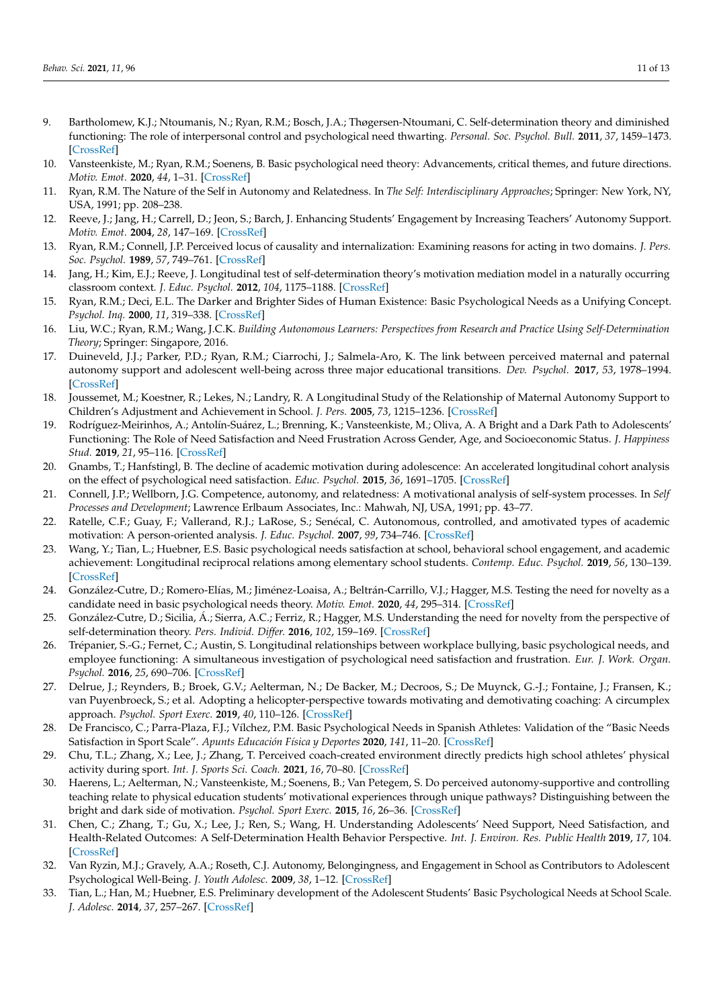- <span id="page-10-0"></span>9. Bartholomew, K.J.; Ntoumanis, N.; Ryan, R.M.; Bosch, J.A.; Thøgersen-Ntoumani, C. Self-determination theory and diminished functioning: The role of interpersonal control and psychological need thwarting. *Personal. Soc. Psychol. Bull.* **2011**, *37*, 1459–1473. [\[CrossRef\]](http://doi.org/10.1177/0146167211413125)
- <span id="page-10-1"></span>10. Vansteenkiste, M.; Ryan, R.M.; Soenens, B. Basic psychological need theory: Advancements, critical themes, and future directions. *Motiv. Emot.* **2020**, *44*, 1–31. [\[CrossRef\]](http://doi.org/10.1007/s11031-019-09818-1)
- <span id="page-10-2"></span>11. Ryan, R.M. The Nature of the Self in Autonomy and Relatedness. In *The Self: Interdisciplinary Approaches*; Springer: New York, NY, USA, 1991; pp. 208–238.
- <span id="page-10-3"></span>12. Reeve, J.; Jang, H.; Carrell, D.; Jeon, S.; Barch, J. Enhancing Students' Engagement by Increasing Teachers' Autonomy Support. *Motiv. Emot.* **2004**, *28*, 147–169. [\[CrossRef\]](http://doi.org/10.1023/B:MOEM.0000032312.95499.6f)
- <span id="page-10-4"></span>13. Ryan, R.M.; Connell, J.P. Perceived locus of causality and internalization: Examining reasons for acting in two domains. *J. Pers. Soc. Psychol.* **1989**, *57*, 749–761. [\[CrossRef\]](http://doi.org/10.1037/0022-3514.57.5.749)
- <span id="page-10-5"></span>14. Jang, H.; Kim, E.J.; Reeve, J. Longitudinal test of self-determination theory's motivation mediation model in a naturally occurring classroom context. *J. Educ. Psychol.* **2012**, *104*, 1175–1188. [\[CrossRef\]](http://doi.org/10.1037/a0028089)
- <span id="page-10-6"></span>15. Ryan, R.M.; Deci, E.L. The Darker and Brighter Sides of Human Existence: Basic Psychological Needs as a Unifying Concept. *Psychol. Inq.* **2000**, *11*, 319–338. [\[CrossRef\]](http://doi.org/10.1207/S15327965PLI1104_03)
- <span id="page-10-7"></span>16. Liu, W.C.; Ryan, R.M.; Wang, J.C.K. *Building Autonomous Learners: Perspectives from Research and Practice Using Self-Determination Theory*; Springer: Singapore, 2016.
- <span id="page-10-8"></span>17. Duineveld, J.J.; Parker, P.D.; Ryan, R.M.; Ciarrochi, J.; Salmela-Aro, K. The link between perceived maternal and paternal autonomy support and adolescent well-being across three major educational transitions. *Dev. Psychol.* **2017**, *53*, 1978–1994. [\[CrossRef\]](http://doi.org/10.1037/dev0000364)
- 18. Joussemet, M.; Koestner, R.; Lekes, N.; Landry, R. A Longitudinal Study of the Relationship of Maternal Autonomy Support to Children's Adjustment and Achievement in School. *J. Pers.* **2005**, *73*, 1215–1236. [\[CrossRef\]](http://doi.org/10.1111/j.1467-6494.2005.00347.x)
- <span id="page-10-9"></span>19. Rodríguez-Meirinhos, A.; Antolín-Suárez, L.; Brenning, K.; Vansteenkiste, M.; Oliva, A. A Bright and a Dark Path to Adolescents' Functioning: The Role of Need Satisfaction and Need Frustration Across Gender, Age, and Socioeconomic Status. *J. Happiness Stud.* **2019**, *21*, 95–116. [\[CrossRef\]](http://doi.org/10.1007/s10902-018-00072-9)
- <span id="page-10-10"></span>20. Gnambs, T.; Hanfstingl, B. The decline of academic motivation during adolescence: An accelerated longitudinal cohort analysis on the effect of psychological need satisfaction. *Educ. Psychol.* **2015**, *36*, 1691–1705. [\[CrossRef\]](http://doi.org/10.1080/01443410.2015.1113236)
- <span id="page-10-11"></span>21. Connell, J.P.; Wellborn, J.G. Competence, autonomy, and relatedness: A motivational analysis of self-system processes. In *Self Processes and Development*; Lawrence Erlbaum Associates, Inc.: Mahwah, NJ, USA, 1991; pp. 43–77.
- <span id="page-10-12"></span>22. Ratelle, C.F.; Guay, F.; Vallerand, R.J.; LaRose, S.; Senécal, C. Autonomous, controlled, and amotivated types of academic motivation: A person-oriented analysis. *J. Educ. Psychol.* **2007**, *99*, 734–746. [\[CrossRef\]](http://doi.org/10.1037/0022-0663.99.4.734)
- <span id="page-10-13"></span>23. Wang, Y.; Tian, L.; Huebner, E.S. Basic psychological needs satisfaction at school, behavioral school engagement, and academic achievement: Longitudinal reciprocal relations among elementary school students. *Contemp. Educ. Psychol.* **2019**, *56*, 130–139. [\[CrossRef\]](http://doi.org/10.1016/j.cedpsych.2019.01.003)
- <span id="page-10-14"></span>24. González-Cutre, D.; Romero-Elías, M.; Jiménez-Loaisa, A.; Beltrán-Carrillo, V.J.; Hagger, M.S. Testing the need for novelty as a candidate need in basic psychological needs theory. *Motiv. Emot.* **2020**, *44*, 295–314. [\[CrossRef\]](http://doi.org/10.1007/s11031-019-09812-7)
- <span id="page-10-15"></span>25. González-Cutre, D.; Sicilia, Á.; Sierra, A.C.; Ferriz, R.; Hagger, M.S. Understanding the need for novelty from the perspective of self-determination theory. *Pers. Individ. Differ.* **2016**, *102*, 159–169. [\[CrossRef\]](http://doi.org/10.1016/j.paid.2016.06.036)
- <span id="page-10-16"></span>26. Trépanier, S.-G.; Fernet, C.; Austin, S. Longitudinal relationships between workplace bullying, basic psychological needs, and employee functioning: A simultaneous investigation of psychological need satisfaction and frustration. *Eur. J. Work. Organ. Psychol.* **2016**, *25*, 690–706. [\[CrossRef\]](http://doi.org/10.1080/1359432X.2015.1132200)
- <span id="page-10-17"></span>27. Delrue, J.; Reynders, B.; Broek, G.V.; Aelterman, N.; De Backer, M.; Decroos, S.; De Muynck, G.-J.; Fontaine, J.; Fransen, K.; van Puyenbroeck, S.; et al. Adopting a helicopter-perspective towards motivating and demotivating coaching: A circumplex approach. *Psychol. Sport Exerc.* **2019**, *40*, 110–126. [\[CrossRef\]](http://doi.org/10.1016/j.psychsport.2018.08.008)
- 28. De Francisco, C.; Parra-Plaza, F.J.; Vílchez, P.M. Basic Psychological Needs in Spanish Athletes: Validation of the "Basic Needs Satisfaction in Sport Scale". *Apunts Educación Física y Deportes* **2020**, *141*, 11–20. [\[CrossRef\]](http://doi.org/10.5672/apunts.2014-0983.es.(2020/3).141.02)
- <span id="page-10-18"></span>29. Chu, T.L.; Zhang, X.; Lee, J.; Zhang, T. Perceived coach-created environment directly predicts high school athletes' physical activity during sport. *Int. J. Sports Sci. Coach.* **2021**, *16*, 70–80. [\[CrossRef\]](http://doi.org/10.1177/1747954120959733)
- <span id="page-10-19"></span>30. Haerens, L.; Aelterman, N.; Vansteenkiste, M.; Soenens, B.; Van Petegem, S. Do perceived autonomy-supportive and controlling teaching relate to physical education students' motivational experiences through unique pathways? Distinguishing between the bright and dark side of motivation. *Psychol. Sport Exerc.* **2015**, *16*, 26–36. [\[CrossRef\]](http://doi.org/10.1016/j.psychsport.2014.08.013)
- <span id="page-10-20"></span>31. Chen, C.; Zhang, T.; Gu, X.; Lee, J.; Ren, S.; Wang, H. Understanding Adolescents' Need Support, Need Satisfaction, and Health-Related Outcomes: A Self-Determination Health Behavior Perspective. *Int. J. Environ. Res. Public Health* **2019**, *17*, 104. [\[CrossRef\]](http://doi.org/10.3390/ijerph17010104)
- <span id="page-10-21"></span>32. Van Ryzin, M.J.; Gravely, A.A.; Roseth, C.J. Autonomy, Belongingness, and Engagement in School as Contributors to Adolescent Psychological Well-Being. *J. Youth Adolesc.* **2009**, *38*, 1–12. [\[CrossRef\]](http://doi.org/10.1007/s10964-007-9257-4)
- <span id="page-10-22"></span>33. Tian, L.; Han, M.; Huebner, E.S. Preliminary development of the Adolescent Students' Basic Psychological Needs at School Scale. *J. Adolesc.* **2014**, *37*, 257–267. [\[CrossRef\]](http://doi.org/10.1016/j.adolescence.2014.01.005)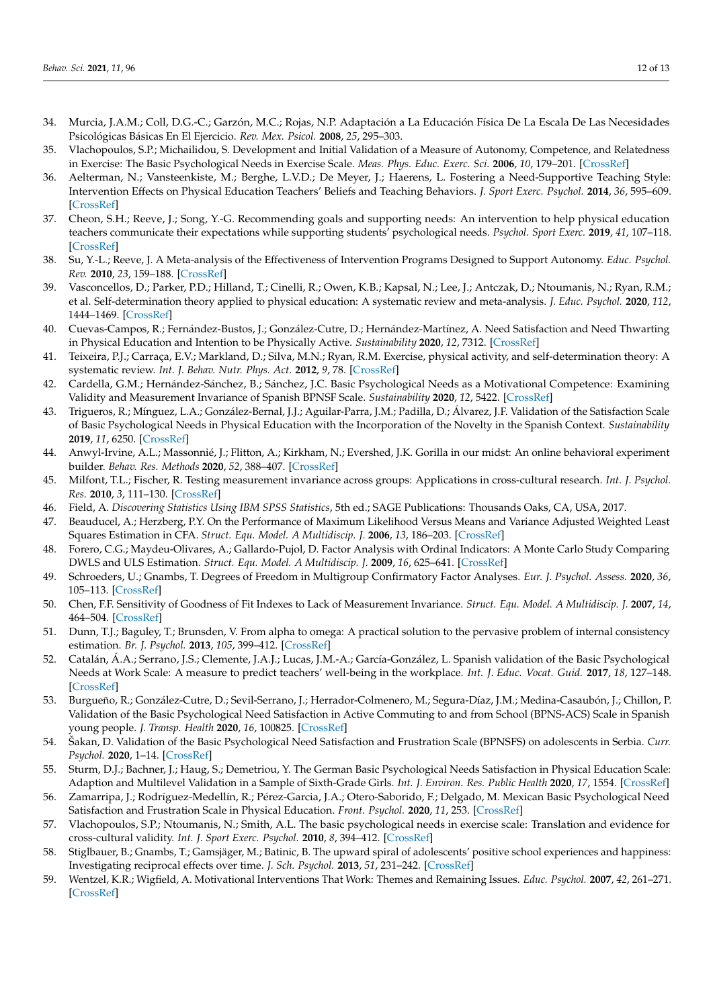- <span id="page-11-0"></span>34. Murcia, J.A.M.; Coll, D.G.-C.; Garzón, M.C.; Rojas, N.P. Adaptación a La Educación Física De La Escala De Las Necesidades Psicológicas Básicas En El Ejercicio. *Rev. Mex. Psicol.* **2008**, *25*, 295–303.
- <span id="page-11-1"></span>35. Vlachopoulos, S.P.; Michailidou, S. Development and Initial Validation of a Measure of Autonomy, Competence, and Relatedness in Exercise: The Basic Psychological Needs in Exercise Scale. *Meas. Phys. Educ. Exerc. Sci.* **2006**, *10*, 179–201. [\[CrossRef\]](http://doi.org/10.1207/s15327841mpee1003_4)
- <span id="page-11-2"></span>36. Aelterman, N.; Vansteenkiste, M.; Berghe, L.V.D.; De Meyer, J.; Haerens, L. Fostering a Need-Supportive Teaching Style: Intervention Effects on Physical Education Teachers' Beliefs and Teaching Behaviors. *J. Sport Exerc. Psychol.* **2014**, *36*, 595–609. [\[CrossRef\]](http://doi.org/10.1123/jsep.2013-0229)
- 37. Cheon, S.H.; Reeve, J.; Song, Y.-G. Recommending goals and supporting needs: An intervention to help physical education teachers communicate their expectations while supporting students' psychological needs. *Psychol. Sport Exerc.* **2019**, *41*, 107–118. [\[CrossRef\]](http://doi.org/10.1016/j.psychsport.2018.12.008)
- <span id="page-11-3"></span>38. Su, Y.-L.; Reeve, J. A Meta-analysis of the Effectiveness of Intervention Programs Designed to Support Autonomy. *Educ. Psychol. Rev.* **2010**, *23*, 159–188. [\[CrossRef\]](http://doi.org/10.1007/s10648-010-9142-7)
- <span id="page-11-4"></span>39. Vasconcellos, D.; Parker, P.D.; Hilland, T.; Cinelli, R.; Owen, K.B.; Kapsal, N.; Lee, J.; Antczak, D.; Ntoumanis, N.; Ryan, R.M.; et al. Self-determination theory applied to physical education: A systematic review and meta-analysis. *J. Educ. Psychol.* **2020**, *112*, 1444–1469. [\[CrossRef\]](http://doi.org/10.1037/edu0000420)
- <span id="page-11-5"></span>40. Cuevas-Campos, R.; Fernández-Bustos, J.; González-Cutre, D.; Hernández-Martínez, A. Need Satisfaction and Need Thwarting in Physical Education and Intention to be Physically Active. *Sustainability* **2020**, *12*, 7312. [\[CrossRef\]](http://doi.org/10.3390/su12187312)
- <span id="page-11-6"></span>41. Teixeira, P.J.; Carraça, E.V.; Markland, D.; Silva, M.N.; Ryan, R.M. Exercise, physical activity, and self-determination theory: A systematic review. *Int. J. Behav. Nutr. Phys. Act.* **2012**, *9*, 78. [\[CrossRef\]](http://doi.org/10.1186/1479-5868-9-78)
- <span id="page-11-7"></span>42. Cardella, G.M.; Hernández-Sánchez, B.; Sánchez, J.C. Basic Psychological Needs as a Motivational Competence: Examining Validity and Measurement Invariance of Spanish BPNSF Scale. *Sustainability* **2020**, *12*, 5422. [\[CrossRef\]](http://doi.org/10.3390/su12135422)
- <span id="page-11-8"></span>43. Trigueros, R.; Mínguez, L.A.; González-Bernal, J.J.; Aguilar-Parra, J.M.; Padilla, D.; Álvarez, J.F. Validation of the Satisfaction Scale of Basic Psychological Needs in Physical Education with the Incorporation of the Novelty in the Spanish Context. *Sustainability* **2019**, *11*, 6250. [\[CrossRef\]](http://doi.org/10.3390/su11226250)
- <span id="page-11-9"></span>44. Anwyl-Irvine, A.L.; Massonnié, J.; Flitton, A.; Kirkham, N.; Evershed, J.K. Gorilla in our midst: An online behavioral experiment builder. *Behav. Res. Methods* **2020**, *52*, 388–407. [\[CrossRef\]](http://doi.org/10.3758/s13428-019-01237-x)
- <span id="page-11-10"></span>45. Milfont, T.L.; Fischer, R. Testing measurement invariance across groups: Applications in cross-cultural research. *Int. J. Psychol. Res.* **2010**, *3*, 111–130. [\[CrossRef\]](http://doi.org/10.21500/20112084.857)
- <span id="page-11-11"></span>46. Field, A. *Discovering Statistics Using IBM SPSS Statistics*, 5th ed.; SAGE Publications: Thousands Oaks, CA, USA, 2017.
- <span id="page-11-12"></span>47. Beauducel, A.; Herzberg, P.Y. On the Performance of Maximum Likelihood Versus Means and Variance Adjusted Weighted Least Squares Estimation in CFA. *Struct. Equ. Model. A Multidiscip. J.* **2006**, *13*, 186–203. [\[CrossRef\]](http://doi.org/10.1207/s15328007sem1302_2)
- <span id="page-11-13"></span>48. Forero, C.G.; Maydeu-Olivares, A.; Gallardo-Pujol, D. Factor Analysis with Ordinal Indicators: A Monte Carlo Study Comparing DWLS and ULS Estimation. *Struct. Equ. Model. A Multidiscip. J.* **2009**, *16*, 625–641. [\[CrossRef\]](http://doi.org/10.1080/10705510903203573)
- <span id="page-11-14"></span>49. Schroeders, U.; Gnambs, T. Degrees of Freedom in Multigroup Confirmatory Factor Analyses. *Eur. J. Psychol. Assess.* **2020**, *36*, 105–113. [\[CrossRef\]](http://doi.org/10.1027/1015-5759/a000500)
- <span id="page-11-15"></span>50. Chen, F.F. Sensitivity of Goodness of Fit Indexes to Lack of Measurement Invariance. *Struct. Equ. Model. A Multidiscip. J.* **2007**, *14*, 464–504. [\[CrossRef\]](http://doi.org/10.1080/10705510701301834)
- <span id="page-11-16"></span>51. Dunn, T.J.; Baguley, T.; Brunsden, V. From alpha to omega: A practical solution to the pervasive problem of internal consistency estimation. *Br. J. Psychol.* **2013**, *105*, 399–412. [\[CrossRef\]](http://doi.org/10.1111/bjop.12046)
- <span id="page-11-17"></span>52. Catalán, Á.A.; Serrano, J.S.; Clemente, J.A.J.; Lucas, J.M.-A.; García-González, L. Spanish validation of the Basic Psychological Needs at Work Scale: A measure to predict teachers' well-being in the workplace. *Int. J. Educ. Vocat. Guid.* **2017**, *18*, 127–148. [\[CrossRef\]](http://doi.org/10.1007/s10775-017-9351-4)
- <span id="page-11-19"></span>53. Burgueño, R.; González-Cutre, D.; Sevil-Serrano, J.; Herrador-Colmenero, M.; Segura-Díaz, J.M.; Medina-Casaubón, J.; Chillon, P. Validation of the Basic Psychological Need Satisfaction in Active Commuting to and from School (BPNS-ACS) Scale in Spanish young people. *J. Transp. Health* **2020**, *16*, 100825. [\[CrossRef\]](http://doi.org/10.1016/j.jth.2020.100825)
- 54. Šakan, D. Validation of the Basic Psychological Need Satisfaction and Frustration Scale (BPNSFS) on adolescents in Serbia. *Curr. Psychol.* **2020**, 1–14. [\[CrossRef\]](http://doi.org/10.1007/s12144-020-00742-z)
- 55. Sturm, D.J.; Bachner, J.; Haug, S.; Demetriou, Y. The German Basic Psychological Needs Satisfaction in Physical Education Scale: Adaption and Multilevel Validation in a Sample of Sixth-Grade Girls. *Int. J. Environ. Res. Public Health* **2020**, *17*, 1554. [\[CrossRef\]](http://doi.org/10.3390/ijerph17051554)
- <span id="page-11-18"></span>56. Zamarripa, J.; Rodríguez-Medellín, R.; Pérez-Garcia, J.A.; Otero-Saborido, F.; Delgado, M. Mexican Basic Psychological Need Satisfaction and Frustration Scale in Physical Education. *Front. Psychol.* **2020**, *11*, 253. [\[CrossRef\]](http://doi.org/10.3389/fpsyg.2020.00253)
- <span id="page-11-20"></span>57. Vlachopoulos, S.P.; Ntoumanis, N.; Smith, A.L. The basic psychological needs in exercise scale: Translation and evidence for cross-cultural validity. *Int. J. Sport Exerc. Psychol.* **2010**, *8*, 394–412. [\[CrossRef\]](http://doi.org/10.1080/1612197X.2010.9671960)
- <span id="page-11-21"></span>58. Stiglbauer, B.; Gnambs, T.; Gamsjäger, M.; Batinic, B. The upward spiral of adolescents' positive school experiences and happiness: Investigating reciprocal effects over time. *J. Sch. Psychol.* **2013**, *51*, 231–242. [\[CrossRef\]](http://doi.org/10.1016/j.jsp.2012.12.002)
- <span id="page-11-22"></span>59. Wentzel, K.R.; Wigfield, A. Motivational Interventions That Work: Themes and Remaining Issues. *Educ. Psychol.* **2007**, *42*, 261–271. [\[CrossRef\]](http://doi.org/10.1080/00461520701621103)